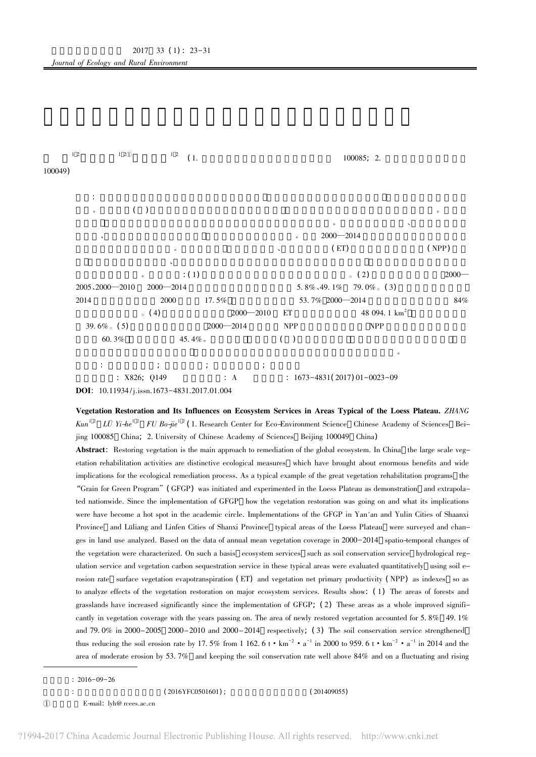

Vegetation Restoration and Its Influences on Ecosystem Services in Areas Typical of the Loess Plateau. ZHANG Kun<sup>12</sup> LÜ Yi-he<sup>12</sup> FU Bo-jie<sup>12</sup> (1. Research Center for Eco-Environment Science Chinese Academy of Sciences Beijing 100085 China; 2. University of Chinese Academy of Sciences Beijing 100049 China)

Abstract: Restoring vegetation is the main approach to remediation of the global ecosystem. In China the large scale vegetation rehabilitation activities are distinctive ecological measures which have brought about enormous benefits and wide implications for the ecological remediation process. As a typical example of the great vegetation rehabilitation programs the "Grain for Green Program" (GFGP) was initiated and experimented in the Loess Plateau as demonstration and extrapolated nationwide. Since the implementation of GFGP how the vegetation restoration was going on and what its implications were have become a hot spot in the academic circle. Implementations of the GFGP in Yan'an and Yulin Cities of Shaanxi Province and Lüliang and Linfen Cities of Shanxi Province typical areas of the Loess Plateau were surveyed and changes in land use analyzed. Based on the data of annual mean vegetation coverage in 2000-2014 spatio-temporal changes of the vegetation were characterized. On such a basis ecosystem services such as soil conservation service hydrological regulation service and vegetation carbon sequestration service in these typical areas were evaluated quantitatively using soil erosion rate surface vegetation evapotranspiration (ET) and vegetation net primary productivity (NPP) as indexes so as to analyze effects of the vegetation restoration on major ecosystem services. Results show: (1) The areas of forests and grasslands have increased significantly since the implementation of GFGP; (2) These areas as a whole improved significantly in vegetation coverage with the years passing on. The area of newly restored vegetation accounted for 5.8% 49.1% and 79.0% in  $2000-2005$   $2000-2010$  and  $2000-2014$  respectively; (3) The soil conservation service strengthened thus reducing the soil erosion rate by 17.5% from 1 162.6 t  $\cdot$  km<sup>-2</sup>  $\cdot$  a<sup>-1</sup> in 2000 to 959.6 t  $\cdot$  km<sup>-2</sup>  $\cdot$  a<sup>-1</sup> in 2014 and the area of moderate erosion by 53.7% and keeping the soil conservation rate well above 84% and on a fluctuating and rising

 $(201409055)$ 

 $: 2016 - 09 - 26$ 

 $(2016YFC0501601)$ ;

 $\textcircled{1}$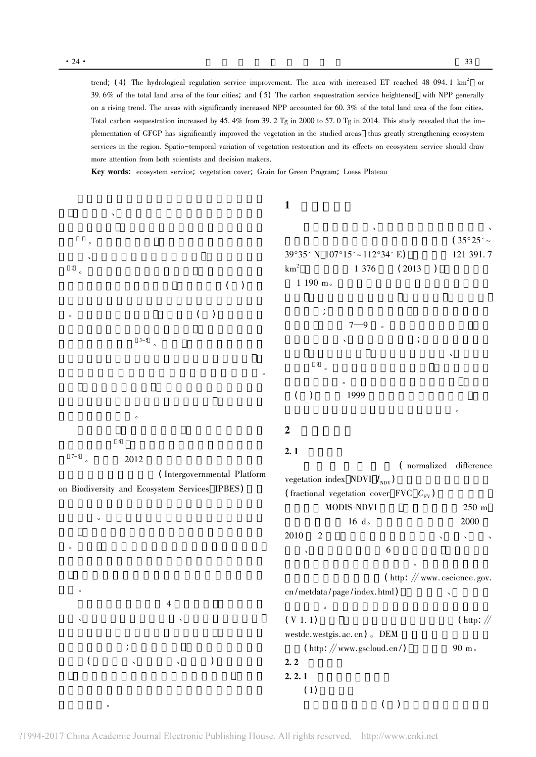trend; (4) The hydrological regulation service improvement. The area with increased ET reached 48 094.1 km<sup>2</sup> or 39.6% of the total land area of the four cities; and (5) The carbon sequestration service heightened with NPP generally on a rising trend. The areas with significantly increased NPP accounted for 60.3% of the total land area of the four cities. Total carbon sequestration increased by 45.4% from 39.2 Tg in 2000 to 57.0 Tg in 2014. This study revealed that the implementation of GFGP has significantly improved the vegetation in the studied areas thus greatly strengthening ecosystem services in the region. Spatio-temporal variation of vegetation restoration and its effects on ecosystem service should draw more attention from both scientists and decision makers.

Key words: ecosystem service; vegetation cover; Grain for Green Program; Loess Plateau

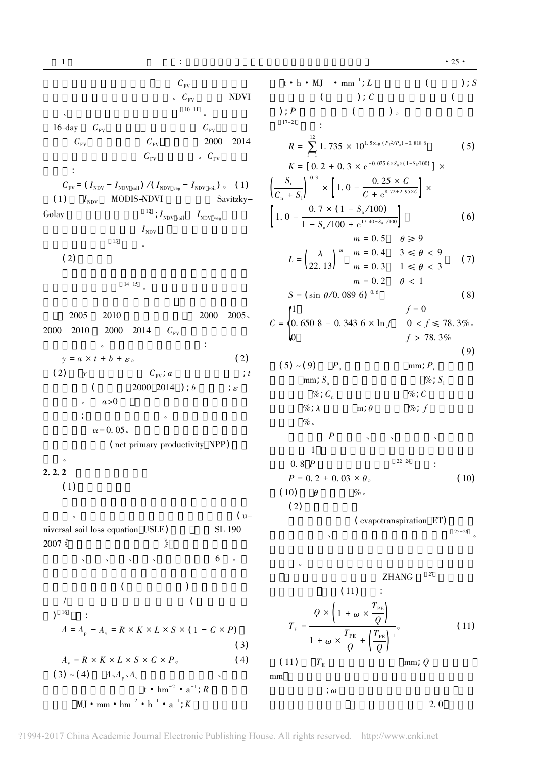$C_{\rm FV}$  $\circ$   $C_{\text{FV}}$ **NDVI**  $10-11$  $16$ -day  $C_{\scriptscriptstyle\rm FV}$  $C_{\text{FV}}$  $C_{\rm FV}$  $C_{\rm FV}$  $2000 - 2014$  $C_{\rm FV}$  $\circ$   $C_{\text{FV}}$  $\sim$  1  $^{\circ}$  $C_{\rm FV} \! = \left(\, I_{\rm NDV} - I_{\rm NDV~soil} \right) \, / \left(\, I_{\rm NDV~veg} - I_{\rm NDV~soil} \right) \, \, _\circ \, \quad \left(\, 1\right)$ Savitzky-MODIS-NDVI  $(1)$   $I_{\text{NDV}}$  $^{12}$  ;  $I_{\rm{NDV}}$   $_{\rm{soil}}$ Golay  $I_{\rm NDV}$  veg  $I_{\rm NDV}$  $13$  $(2)$  $14-15$  $2000 - 2005$ , 2005 2010  $2000 - 2014$  $2000 - 2010$  $C_{\scriptscriptstyle\rm FV}$  $\therefore$  $\circ$  $y = a \times t + b + \varepsilon_{\circ}$  $(2)$  $(2)$   $\gamma$  $C_{\mathrm{FV}}$ ;  $a$  $\therefore t$ 2000 2014 );  $b$  $\overline{(\ }$  $\frac{1}{\ell}$  $a>0$  $\circ$  $\cdot$  $\alpha$  = 0.05. (net primary productivity NPP)  $\circ$  $2.2.2$ 

$$
(1)
$$

 $(u \overline{c}$ niversal soil loss equation USLE)  $SL$  190 $-$ 2007 《  $\rightarrow$  $6\,$  $\bar{\mathbf{v}}$  $\Delta$  $\sim 100$  km s  $^{-1}$  $\bar{\mathcal{N}}$ 

(1)  
\n(2)  
\n(3)  
\n(4)  
\n(5)  
\n(6)  
\n(7)  
\n(8)  
\n(9)  
\n(1) 
$$
A_v = R \times K \times L \times S \times C \times P_o
$$
  
\n(10)  
\n(2)  $A_v A_p A_v$   
\n(3)  
\n(4)  
\n(5)  
\n(6)  
\n(7)  
\n(8)  
\n(9)  
\n(10)  
\n(11)   
\n $hm^{-2} \cdot h^{-1} \cdot a^{-1}$ ; *R*

 $t \cdot h \cdot MJ^{-1} \cdot mm^{-1}$ ; L  $\overline{(\ }$  $\overline{(\ }$  $\cdot$   $\cdot$   $\cdot$  $\left($  $)$ 。  $\therefore$  $12$ 

 $): P$ 

 $17 - 21$ 

$$
R = \sum_{i=1}^{n} 1.735 \times 10^{1.5 \times 1g (P_i^2/P_a) - 0.8188}
$$
(5)  

$$
K = [0.2 + 0.3 \times e^{-0.025 \times S_a \times (1 - S_i/100)}] \times S_i
$$
  

$$
S_i \longrightarrow \frac{0.3}{1.0 - \frac{0.25 \times C}{1.0 - \frac{0.25 \times C}{1.0}} \times
$$

$$
\left[\frac{C_{n} + S_{i}}{1.0 - \frac{0.7 \times (1 - S_{a}/100)}{1 - S_{a}/100 + e^{17.40-S_{a}/100}}}\right] \times (6)
$$

$$
L = \left(\frac{\lambda}{22.13}\right)^m \begin{cases} m = 0.5 & \theta \ge 9 \\ m = 0.4 & 3 \le \theta < 9 \\ m = 0.3 & 1 \le \theta < 3 \\ m = 0.2 & \theta < 1 \end{cases}
$$
 (7)

 $\sim$ 

$$
S = (\sin \theta / 0.089 \, 6)^{-0.6} \tag{8}
$$
\n
$$
f = 0
$$

$$
C = \begin{cases} 0.650 \ 8 - 0.343 \ 6 \times \ln f & 0 < f \le 78.3\% \\ 0 & f > 78.3\% \end{cases}
$$

$$
(9)
$$

$$
(5) \sim (9) \qquad P_{a} \qquad \text{mm}; P_{i} \qquad \text{mm}; P_{i} \qquad \text{mm}; S_{a} \qquad \text{%}; S_{i} \qquad \text{%}; C_{i} \qquad \text{%}; C \qquad \text{%}; C \qquad \text{%}; C \qquad \text{%}; C \qquad \text{%}; C \qquad \text{%}; C \qquad \text{%}; C \qquad \text{%}; C \qquad \text{P} \qquad \text{R}; \qquad \text{R}; \qquad \text{R}; \qquad \text{R}; \qquad \text{R}; \qquad \text{R}; \qquad \text{R}; \qquad \text{R}; \qquad \text{R}; \qquad \text{R}; \qquad \text{R}; \qquad \text{R}; \qquad \text{R}; \qquad \text{R}; \qquad \text{R}; \qquad \text{R}; \qquad \text{R}; \qquad \text{R}; \qquad \text{R}; \qquad \text{R}; \qquad \text{R}; \qquad \text{R}; \qquad \text{R}; \qquad \text{R}; \qquad \text{R}; \qquad \text{R}; \qquad \text{R}; \qquad \text{R}; \qquad \text{R}; \qquad \text{R}; \qquad \text{R}; \qquad \text{R}; \qquad \text{R}; \qquad \text{R}; \qquad \text{R}; \qquad \text{R}; \qquad \text{R}; \qquad \text{R}; \qquad \text{R}; \qquad \text{R}; \qquad \text{R}; \qquad \text{R}; \qquad \text{R}; \qquad \text{R}; \qquad \text{R}; \qquad \text{R}; \qquad \text{R}; \qquad \text{R}; \qquad \text{R}; \qquad \text{R}; \qquad \text{R}; \qquad \text{R}; \qquad \text{R}; \qquad \text{R}; \qquad \text{R}; \qquad \text{R}; \qquad \text{R}; \qquad \text{R}; \qquad \text{R}; \qquad \text{R}; \qquad \text{R}; \qquad \text{R}; \qquad \text{R}; \qquad \text{R}; \qquad \text{R}; \qquad \text{R}; \qquad \text{R}; \qquad \text{R}; \qquad \text{R}; \qquad \text{R}; \qquad \text{R}; \qquad \text{R}; \qquad \text{R}; \qquad \text{R}; \qquad \text{R}; \qquad \text
$$

$$
\text{(evapotranspiration ET)} \quad \text{ }^{25-26} \quad \text{ }^{25-26}
$$

$$
T_{\rm E} = \frac{Q \times \left(1 + \omega \times \frac{T_{\rm PE}}{Q}\right)}{1 + \omega \times \frac{T_{\rm PE}}{Q} + \left(\frac{T_{\rm PE}}{Q}\right)^{-1}}.
$$
\n(11)  $T_{\rm E}$  mm; Q

$$
\frac{1}{2}\omega
$$

 $\rm mm$ 

 $2.0$ 

 $\overline{(\ }$ 

 $); S$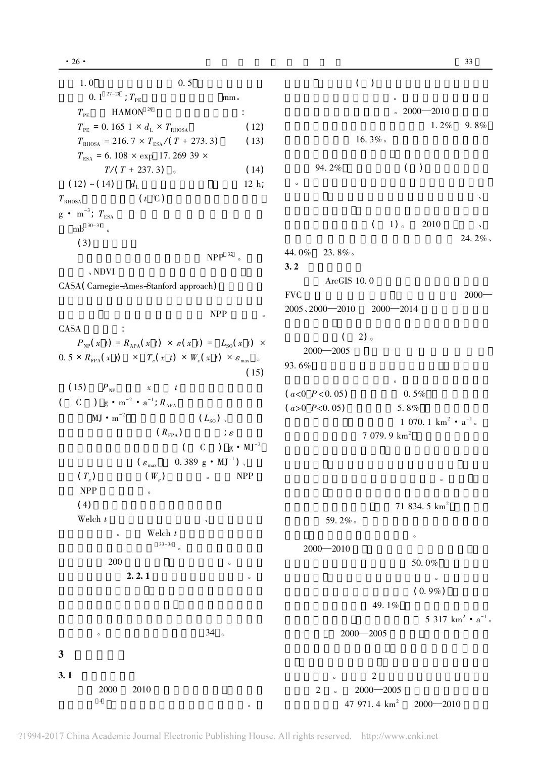$( )$  $1.0$  $0.5$ 0. 1  $27-28$ ;  $T_{PE}$  $mm<sub>o</sub>$ HAMON $^{29}$  $.2000 - 2010$  $T_{\scriptscriptstyle{\mathrm{PE}}}$  $\ddot{\cdot}$  $1.2\%$  $9.8\%$  $T_{\text{PE}}$  = 0. 165 1 ×  $d_{\text{L}}$  ×  $T_{\text{RHOSA}}$  $(12)$ 16.3%.  $T_{\text{RHOSA}} = 216.7 \times T_{\text{ESA}} / (T + 273.3)$  $(13)$  $T_{\text{FSA}}$  = 6.108 × exp 17.269 39 × 94.2%  $($ )  $T/(T + 237.3)$  $(14)$  $(12)$  ~  $(14)$  $12 h:$  $d_{\scriptscriptstyle\rm L}$  $(t^{\circ}C)$  $T_{\rm RHOSA}$  $g \cdot m^{-3}$ ;  $T_{\text{FSA}}$  $1)$ 2010  $\left($ mb  $30-31$  .  $24.2\%$  $(3)$ 44.0% 23.8% NPP  $32$  $3.2$  $\sqrt{N}$ ArcGIS 10.0 CASA (Carnegie-Ames-Stanford approach) **FVC**  $2000 2005, 2000 - 2010$  $2000 - 2014$ **NPP CASA**  $\ddot{\cdot}$  $\left($  $2)$  $P_{NP}(x t) = R_{APA}(x t) \times \varepsilon(x t) = L_{SO}(x t) \times$  $2000 - 2005$  $0.5 \times R_{\text{FPA}}(x \ t) \times T_{\epsilon}(x \ t) \times W_{\epsilon}(x \ t) \times \varepsilon_{\text{max}}$ 93.6%  $(15)$  $(15)$  $P_{NP}$  $\boldsymbol{\mathcal{X}}$  $(a<0 \; P<0.05)$  $0.5%$ ( C )  $g \cdot m^{-2} \cdot a^{-1}$ ;  $R_{APA}$  $(a>0 \ P<0.05)$ 5.8%  $MJ \cdot m^{-2}$  $(L_{\rm so})$ , 1 070. 1  $km^2$  •  $a^{-1}$ .  $\vdots$  $(R_{\text{FPA}})$  $7079.9 \text{ km}^2$  $C$  )  $g \cdot MJ^{-2}$  $\left($ 0.389 g  $\cdot$  MJ<sup>-1</sup>). ( $\varepsilon_{\text{\tiny{max}}}$  $(T_{\epsilon})$  $(W_{\varepsilon})$ **NPP NPP**  $\sim$  $(4)$ 71 834.5 km<sup>2</sup> Welch  $t$ 59.2%. Welch  $t$  $33 - 34$  $2000 - 2010$ 200 50.0%  $2.2.1$  $(0.9\%)$ 49.1% 5 317  $km^2$   $\cdot$   $a^{-1}$ .  $34$  $2000 - 2005$  $\mathbf{3}$  $3.1$  $\overline{2}$ 2000 2010  $\sqrt{2}$  $2000 - 2005$  $\overline{4}$ 47 971.4  $\text{km}^2$  $2000 - 2010$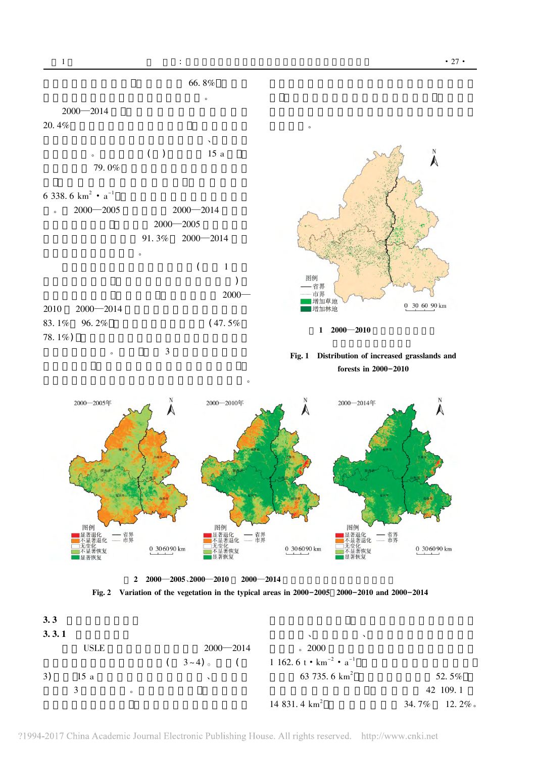$\mathbf{1}$ 



 $2\quad 2000 - 2005\,000 - 2010$  $2000 - 2014$ 



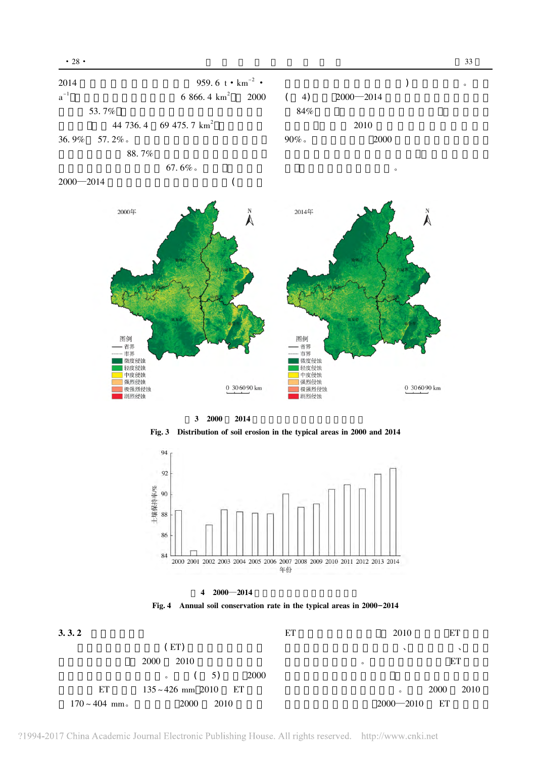

3 2000 2014







Fig. 4 Annual soil conservation rate in the typical areas in 2000-2014



 $\circ$ 

?1994-2017 China Academic Journal Electronic Publishing House. All rights reserved. http://www.cnki.net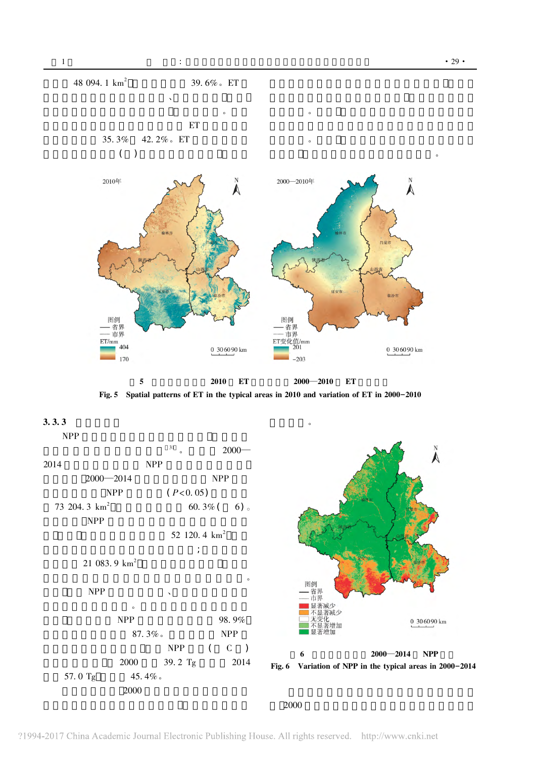







2000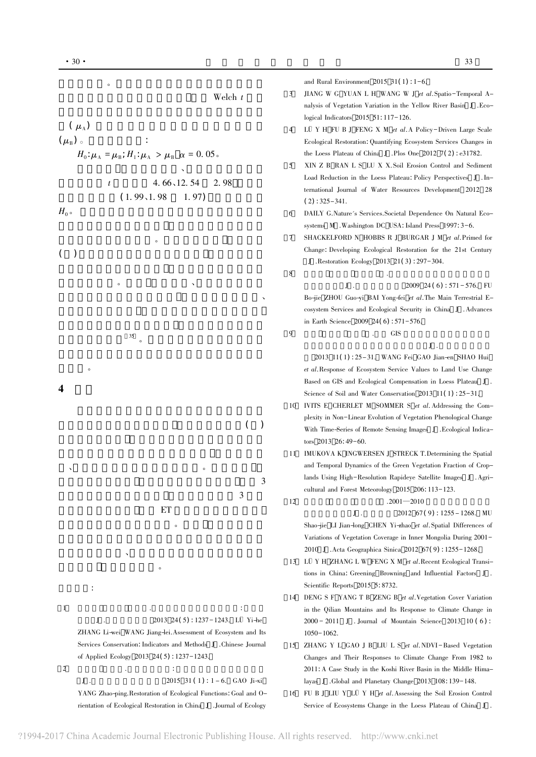$(\mu_{\lambda})$ 

 $(\mu_{\rm B})$  o

 $H_0$ 

 $\overline{(\ }$  $\rightarrow$ 

 $\overline{\mathbf{4}}$ 

 $\cdot$ 

 $\overline{1}$ 

 $\overline{c}$ 

 $J$ .

 $\mathbf{I}$ .

Service of Ecosystems Change in the Loess Plateau of China J.

and Rural Environment 2015  $31(1)$ : 1-6. JIANG W G YUAN L H WANG W J et al. Spatio-Temporal A- $\overline{3}$ Welch  $t$ nalysis of Vegetation Variation in the Yellow River Basin J .Ecological Indicators 2015 51:117-126. LÜ Y H FU B J FENG X M et al. A Policy-Driven Large Scale  $\overline{4}$ Ecological Restoration: Quantifying Ecosystem Services Changes in  $H_0: \mu_A = \mu_B: H_1: \mu_A > \mu_B \alpha = 0.05$ . the Loess Plateau of China J .Plos One 2012  $7(2)$ : e31782. XIN Z B RAN L S LU X X. Soil Erosion Control and Sediment  $\leq$ Load Reduction in the Loess Plateau: Policy Perspectives J . In-4.66, 12.54 2.98  $\boldsymbol{t}$ ternational Journal of Water Resources Development 2012 28  $(1.99, 1.98)$  $1.97)$  $(2): 325 - 341.$ DAILY G.Nature's Services.Societal Dependence On Natural Eco-6 systems M . Washington DC USA: Island Press 1997: 3-6. SHACKELFORD N HOBBS R J BURGAR J M et al. Primed for  $\overline{7}$ Change: Developing Ecological Restoration for the 21st Century J .Restoration Ecology 2013 21(3): 297-304.  $\mathbf{\hat{z}}$  $J$ . 2009 24(6):  $571 - 576$ . FU Bo-jie ZHOU Guo-yi BAI Yong-fei et al. The Main Terrestrial Ecosystem Services and Ecological Security in China J . Advances in Earth Science 2009 24(6):  $571-576$ .  $\overline{Q}$ **GIS** 35 2013 11(1): 25-31. WANG Fei GAO Jian-en SHAO Hui et al.Response of Ecosystem Service Values to Land Use Change Based on GIS and Ecological Compensation in Loess Plateau J. Science of Soil and Water Conservation 2013 11(1): 25-31. 10 IVITS E CHERLET M SOMMER S et al. Addressing the Complexity in Non-Linear Evolution of Vegetation Phenological Change  $\overline{(\ }$  $\lambda$ With Time-Series of Remote Sensing Images J . Ecological Indicators 2013 26:49-60. 11 IMUKOVA K INGWERSEN J STRECK T.Determining the Spatial and Temporal Dynamics of the Green Vegetation Fraction of Croplands Using High-Resolution Rapideye Satellite Images J . Agri-3 cultural and Forest Meteorology 2015 206: 113-123. 3  $12$  $.2001 - 2010$ ET 2012  $67(9)$ : 1255 - 1268. MU  $\mathbf{I}$ . Shao-jie LI Jian-long CHEN Yi-zhao et al. Spatial Differences of Variations of Vegetation Coverage in Inner Mongolia During 2001-2010 J .Acta Geographica Sinica 2012 67(9): 1255-1268. 13 LÜ Y H ZHANG L W FENG X M et al. Recent Ecological Transitions in China: Greening Browning and Influential Factors J. Scientific Reports 2015 5:8732. 14 DENG S F YANG T B ZENG B et al. Vegetation Cover Variation in the Qilian Mountains and Its Response to Climate Change in 2013 24(5): 1237-1243. LÜ Yi-he  $J$ .  $2000 - 2011$  J Journal of Mountain Science 2013 10 (6): ZHANG Li-wei WANG Jiang-lei. Assessment of Ecosystem and Its  $1050 - 1062.$ Services Conservation: Indicators and Methods I. Chinese Journal 15 ZHANG Y L GAO J B LIU L S et al. NDVI-Based Vegetation of Applied Ecology 2013 24(5): 1237-1243. Changes and Their Responses to Climate Change From 1982 to 2011: A Case Study in the Koshi River Basin in the Middle Hima- $\ddot{\cdot}$ 2015 31 (1) :  $1 - 6$ . GAO Ji-xi layas J .Global and Planetary Change 2013 108: 139-148. YANG Zhao-ping. Restoration of Ecological Functions: Goal and O-16 FU B J LIU Y LÜ Y H et al. Assessing the Soil Erosion Control

rientation of Ecological Restoration in China J .Journal of Ecology